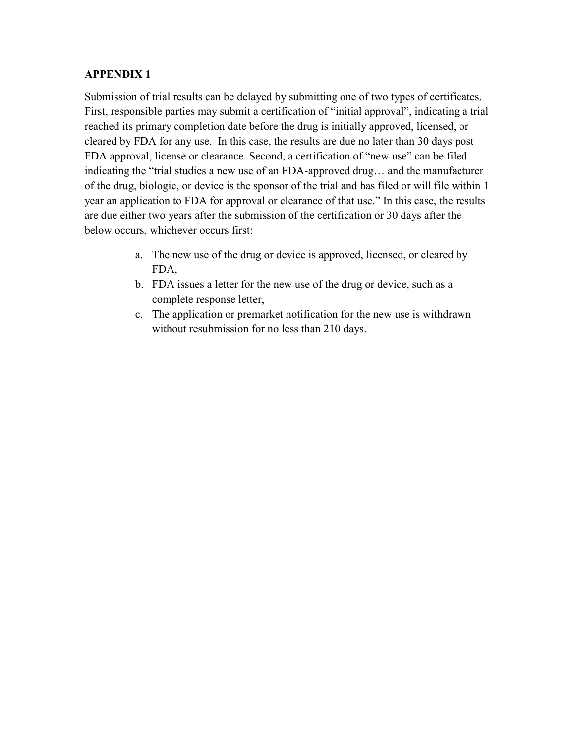## **APPENDIX 1**

Submission of trial results can be delayed by submitting one of two types of certificates. First, responsible parties may submit a certification of "initial approval", indicating a trial reached its primary completion date before the drug is initially approved, licensed, or cleared by FDA for any use. In this case, the results are due no later than 30 days post FDA approval, license or clearance. Second, a certification of "new use" can be filed indicating the "trial studies a new use of an FDA-approved drug… and the manufacturer of the drug, biologic, or device is the sponsor of the trial and has filed or will file within 1 year an application to FDA for approval or clearance of that use." In this case, the results are due either two years after the submission of the certification or 30 days after the below occurs, whichever occurs first:

- a. The new use of the drug or device is approved, licensed, or cleared by FDA,
- b. FDA issues a letter for the new use of the drug or device, such as a complete response letter,
- c. The application or premarket notification for the new use is withdrawn without resubmission for no less than 210 days.